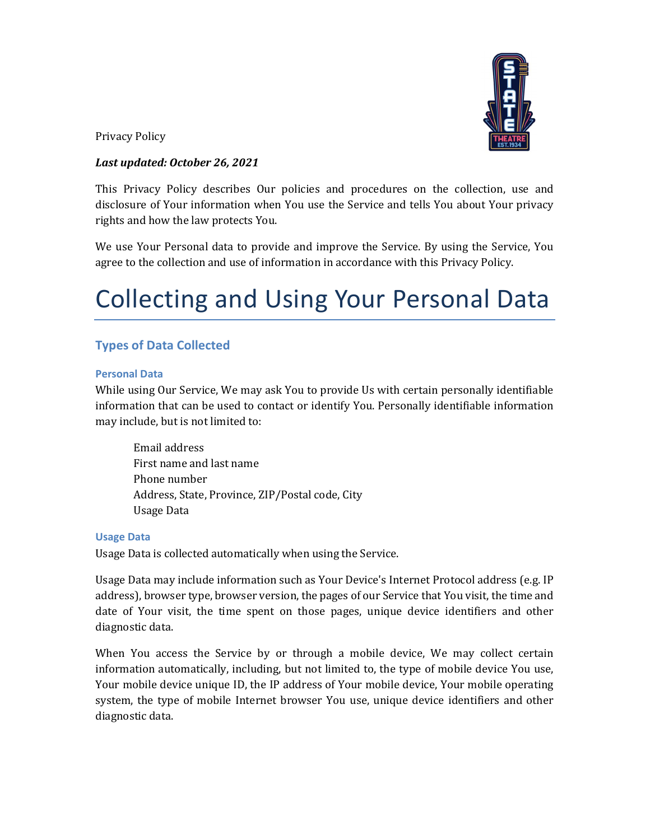

Privacy Policy

#### Last updated: October 26, 2021

This Privacy Policy describes Our policies and procedures on the collection, use and disclosure of Your information when You use the Service and tells You about Your privacy rights and how the law protects You.

We use Your Personal data to provide and improve the Service. By using the Service, You agree to the collection and use of information in accordance with this Privacy Policy.

# Collecting and Using Your Personal Data

# Types of Data Collected

#### Personal Data

While using Our Service, We may ask You to provide Us with certain personally identifiable information that can be used to contact or identify You. Personally identifiable information may include, but is not limited to:

Email address First name and last name Phone number Address, State, Province, ZIP/Postal code, City Usage Data

#### Usage Data

Usage Data is collected automatically when using the Service.

Usage Data may include information such as Your Device's Internet Protocol address (e.g. IP address), browser type, browser version, the pages of our Service that You visit, the time and date of Your visit, the time spent on those pages, unique device identifiers and other diagnostic data.

When You access the Service by or through a mobile device, We may collect certain information automatically, including, but not limited to, the type of mobile device You use, Your mobile device unique ID, the IP address of Your mobile device, Your mobile operating system, the type of mobile Internet browser You use, unique device identifiers and other diagnostic data.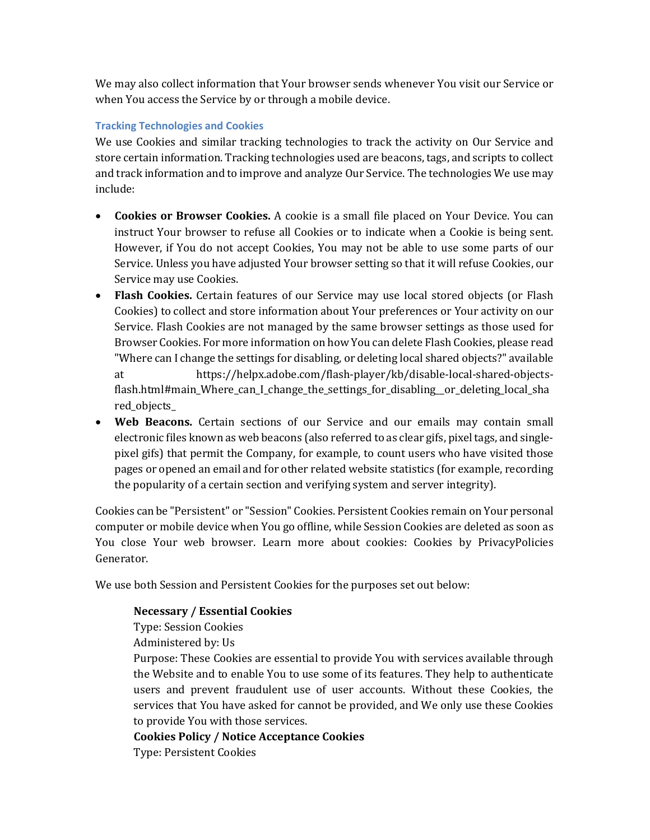We may also collect information that Your browser sends whenever You visit our Service or when You access the Service by or through a mobile device.

#### Tracking Technologies and Cookies

We use Cookies and similar tracking technologies to track the activity on Our Service and store certain information. Tracking technologies used are beacons, tags, and scripts to collect and track information and to improve and analyze Our Service. The technologies We use may include:

- Cookies or Browser Cookies. A cookie is a small file placed on Your Device. You can instruct Your browser to refuse all Cookies or to indicate when a Cookie is being sent. However, if You do not accept Cookies, You may not be able to use some parts of our Service. Unless you have adjusted Your browser setting so that it will refuse Cookies, our Service may use Cookies.
- Flash Cookies. Certain features of our Service may use local stored objects (or Flash Cookies) to collect and store information about Your preferences or Your activity on our Service. Flash Cookies are not managed by the same browser settings as those used for Browser Cookies. For more information on how You can delete Flash Cookies, please read "Where can I change the settings for disabling, or deleting local shared objects?" available at https://helpx.adobe.com/flash-player/kb/disable-local-shared-objectsflash.html#main\_Where\_can\_I\_change\_the\_settings\_for\_disabling\_\_or\_deleting\_local\_sha red\_objects\_
- Web Beacons. Certain sections of our Service and our emails may contain small electronic files known as web beacons (also referred to as clear gifs, pixel tags, and singlepixel gifs) that permit the Company, for example, to count users who have visited those pages or opened an email and for other related website statistics (for example, recording the popularity of a certain section and verifying system and server integrity).

Cookies can be "Persistent" or "Session" Cookies. Persistent Cookies remain on Your personal computer or mobile device when You go offline, while Session Cookies are deleted as soon as You close Your web browser. Learn more about cookies: Cookies by PrivacyPolicies Generator.

We use both Session and Persistent Cookies for the purposes set out below:

#### Necessary / Essential Cookies

Type: Session Cookies

Administered by: Us

Purpose: These Cookies are essential to provide You with services available through the Website and to enable You to use some of its features. They help to authenticate users and prevent fraudulent use of user accounts. Without these Cookies, the services that You have asked for cannot be provided, and We only use these Cookies to provide You with those services.

Cookies Policy / Notice Acceptance Cookies

Type: Persistent Cookies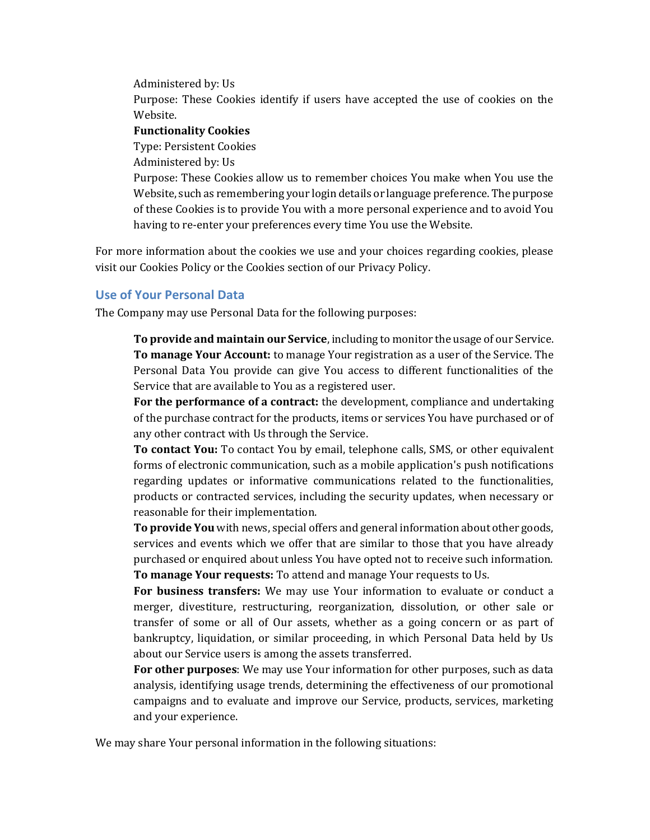Administered by: Us

Purpose: These Cookies identify if users have accepted the use of cookies on the Website.

#### Functionality Cookies

Type: Persistent Cookies

Administered by: Us

Purpose: These Cookies allow us to remember choices You make when You use the Website, such as remembering your login details or language preference. The purpose of these Cookies is to provide You with a more personal experience and to avoid You having to re-enter your preferences every time You use the Website.

For more information about the cookies we use and your choices regarding cookies, please visit our Cookies Policy or the Cookies section of our Privacy Policy.

### Use of Your Personal Data

The Company may use Personal Data for the following purposes:

To provide and maintain our Service, including to monitor the usage of our Service. To manage Your Account: to manage Your registration as a user of the Service. The Personal Data You provide can give You access to different functionalities of the Service that are available to You as a registered user.

For the performance of a contract: the development, compliance and undertaking of the purchase contract for the products, items or services You have purchased or of any other contract with Us through the Service.

To contact You: To contact You by email, telephone calls, SMS, or other equivalent forms of electronic communication, such as a mobile application's push notifications regarding updates or informative communications related to the functionalities, products or contracted services, including the security updates, when necessary or reasonable for their implementation.

**To provide You** with news, special offers and general information about other goods, services and events which we offer that are similar to those that you have already purchased or enquired about unless You have opted not to receive such information. To manage Your requests: To attend and manage Your requests to Us.

For business transfers: We may use Your information to evaluate or conduct a merger, divestiture, restructuring, reorganization, dissolution, or other sale or transfer of some or all of Our assets, whether as a going concern or as part of bankruptcy, liquidation, or similar proceeding, in which Personal Data held by Us about our Service users is among the assets transferred.

For other purposes: We may use Your information for other purposes, such as data analysis, identifying usage trends, determining the effectiveness of our promotional campaigns and to evaluate and improve our Service, products, services, marketing and your experience.

We may share Your personal information in the following situations: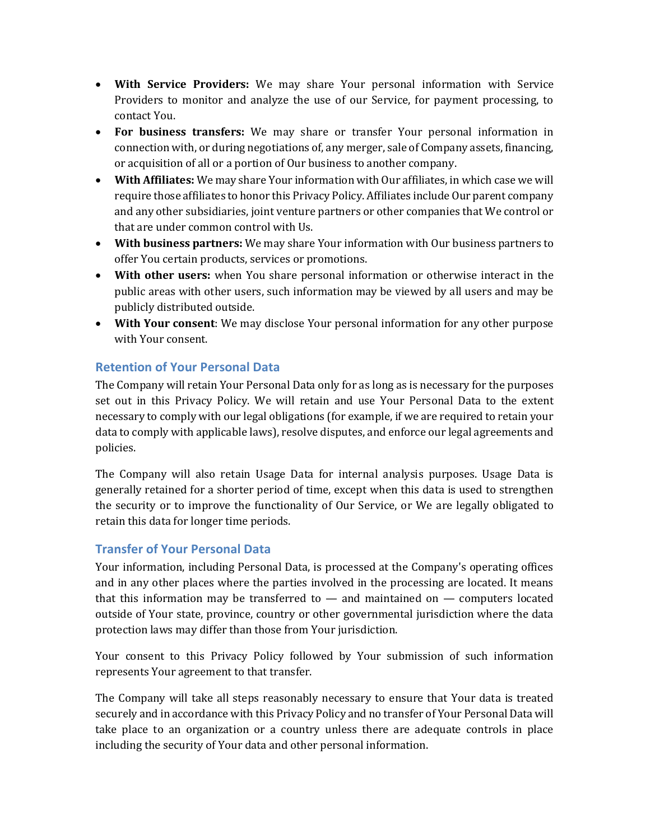- With Service Providers: We may share Your personal information with Service Providers to monitor and analyze the use of our Service, for payment processing, to contact You.
- For business transfers: We may share or transfer Your personal information in connection with, or during negotiations of, any merger, sale of Company assets, financing, or acquisition of all or a portion of Our business to another company.
- With Affiliates: We may share Your information with Our affiliates, in which case we will require those affiliates to honor this Privacy Policy. Affiliates include Our parent company and any other subsidiaries, joint venture partners or other companies that We control or that are under common control with Us.
- With business partners: We may share Your information with Our business partners to offer You certain products, services or promotions.
- With other users: when You share personal information or otherwise interact in the public areas with other users, such information may be viewed by all users and may be publicly distributed outside.
- With Your consent: We may disclose Your personal information for any other purpose with Your consent.

# Retention of Your Personal Data

The Company will retain Your Personal Data only for as long as is necessary for the purposes set out in this Privacy Policy. We will retain and use Your Personal Data to the extent necessary to comply with our legal obligations (for example, if we are required to retain your data to comply with applicable laws), resolve disputes, and enforce our legal agreements and policies.

The Company will also retain Usage Data for internal analysis purposes. Usage Data is generally retained for a shorter period of time, except when this data is used to strengthen the security or to improve the functionality of Our Service, or We are legally obligated to retain this data for longer time periods.

## Transfer of Your Personal Data

Your information, including Personal Data, is processed at the Company's operating offices and in any other places where the parties involved in the processing are located. It means that this information may be transferred to  $-$  and maintained on  $-$  computers located outside of Your state, province, country or other governmental jurisdiction where the data protection laws may differ than those from Your jurisdiction.

Your consent to this Privacy Policy followed by Your submission of such information represents Your agreement to that transfer.

The Company will take all steps reasonably necessary to ensure that Your data is treated securely and in accordance with this Privacy Policy and no transfer of Your Personal Data will take place to an organization or a country unless there are adequate controls in place including the security of Your data and other personal information.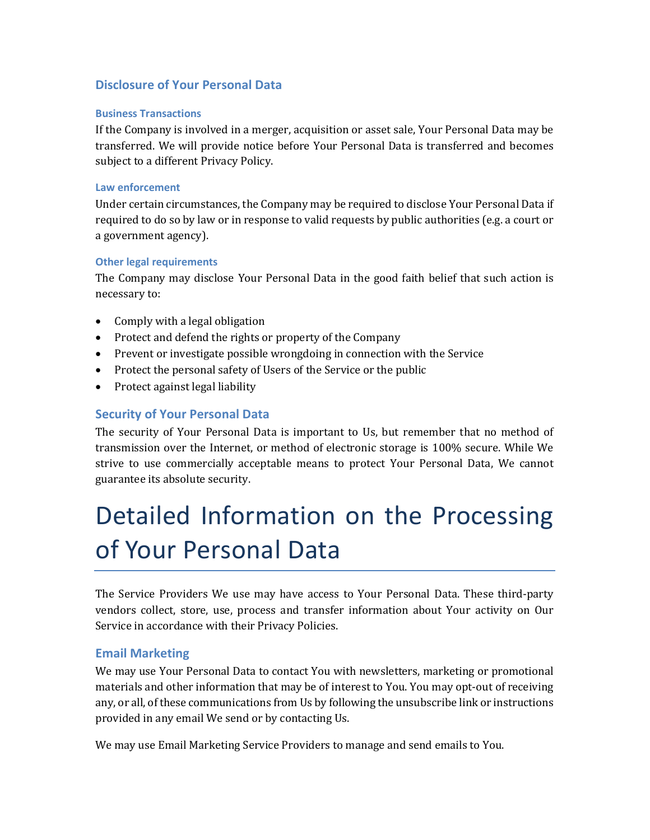### Disclosure of Your Personal Data

#### Business Transactions

If the Company is involved in a merger, acquisition or asset sale, Your Personal Data may be transferred. We will provide notice before Your Personal Data is transferred and becomes subject to a different Privacy Policy.

#### Law enforcement

Under certain circumstances, the Company may be required to disclose Your Personal Data if required to do so by law or in response to valid requests by public authorities (e.g. a court or a government agency).

#### Other legal requirements

The Company may disclose Your Personal Data in the good faith belief that such action is necessary to:

- Comply with a legal obligation
- Protect and defend the rights or property of the Company
- Prevent or investigate possible wrongdoing in connection with the Service
- Protect the personal safety of Users of the Service or the public
- Protect against legal liability

### Security of Your Personal Data

The security of Your Personal Data is important to Us, but remember that no method of transmission over the Internet, or method of electronic storage is 100% secure. While We strive to use commercially acceptable means to protect Your Personal Data, We cannot guarantee its absolute security.

# Detailed Information on the Processing of Your Personal Data

The Service Providers We use may have access to Your Personal Data. These third-party vendors collect, store, use, process and transfer information about Your activity on Our Service in accordance with their Privacy Policies.

#### Email Marketing

We may use Your Personal Data to contact You with newsletters, marketing or promotional materials and other information that may be of interest to You. You may opt-out of receiving any, or all, of these communications from Us by following the unsubscribe link or instructions provided in any email We send or by contacting Us.

We may use Email Marketing Service Providers to manage and send emails to You.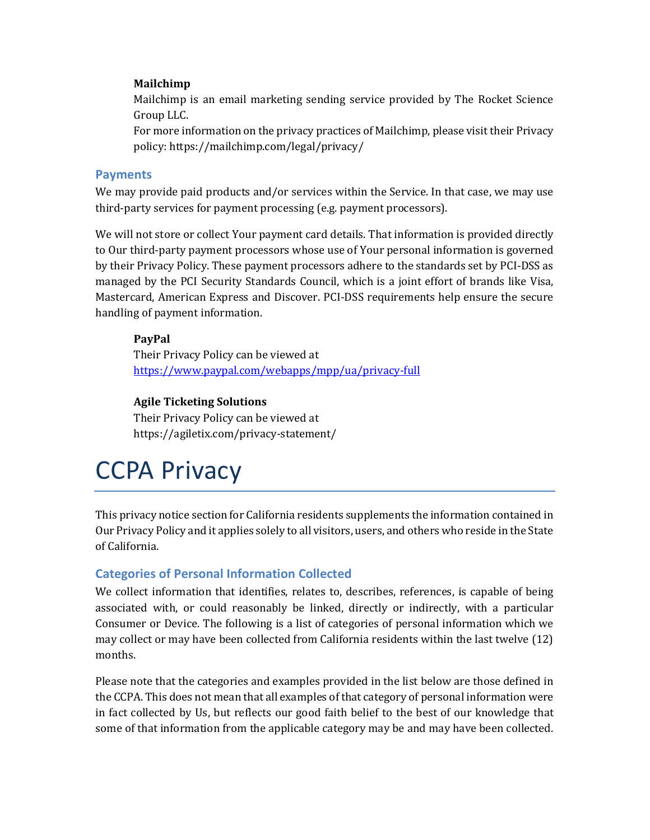#### Mailchimp

Mailchimp is an email marketing sending service provided by The Rocket Science Group LLC.

For more information on the privacy practices of Mailchimp, please visit their Privacy policy: https://mailchimp.com/legal/privacy/

#### Payments

We may provide paid products and/or services within the Service. In that case, we may use third-party services for payment processing (e.g. payment processors).

We will not store or collect Your payment card details. That information is provided directly to Our third-party payment processors whose use of Your personal information is governed by their Privacy Policy. These payment processors adhere to the standards set by PCI-DSS as managed by the PCI Security Standards Council, which is a joint effort of brands like Visa, Mastercard, American Express and Discover. PCI-DSS requirements help ensure the secure handling of payment information.

#### PayPal

Their Privacy Policy can be viewed at https://www.paypal.com/webapps/mpp/ua/privacy-full

#### Agile Ticketing Solutions

Their Privacy Policy can be viewed at https://agiletix.com/privacy-statement/

# CCPA Privacy

This privacy notice section for California residents supplements the information contained in Our Privacy Policy and it applies solely to all visitors, users, and others who reside in the State of California.

## Categories of Personal Information Collected

We collect information that identifies, relates to, describes, references, is capable of being associated with, or could reasonably be linked, directly or indirectly, with a particular Consumer or Device. The following is a list of categories of personal information which we may collect or may have been collected from California residents within the last twelve (12) months.

Please note that the categories and examples provided in the list below are those defined in the CCPA. This does not mean that all examples of that category of personal information were in fact collected by Us, but reflects our good faith belief to the best of our knowledge that some of that information from the applicable category may be and may have been collected.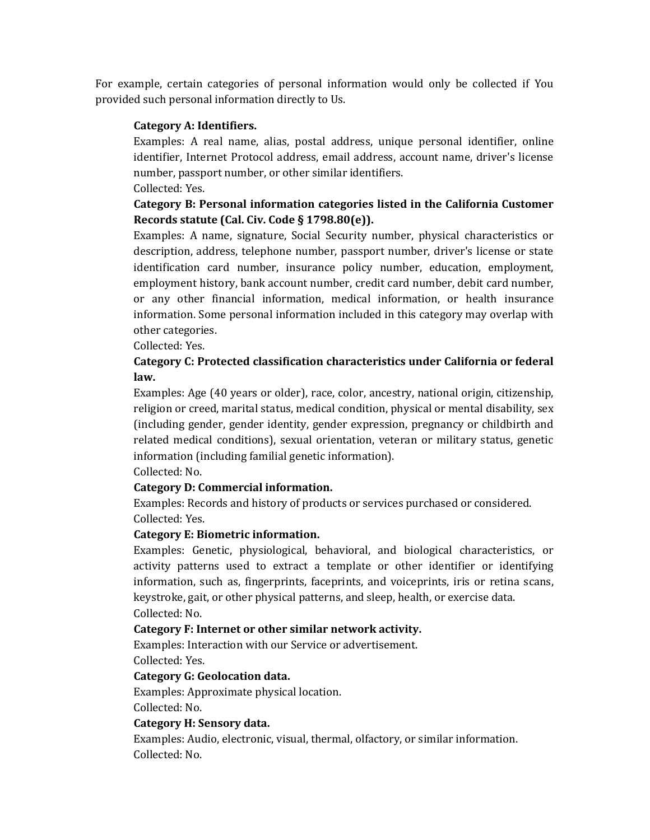For example, certain categories of personal information would only be collected if You provided such personal information directly to Us.

#### Category A: Identifiers.

Examples: A real name, alias, postal address, unique personal identifier, online identifier, Internet Protocol address, email address, account name, driver's license number, passport number, or other similar identifiers.

Collected: Yes.

### Category B: Personal information categories listed in the California Customer Records statute (Cal. Civ. Code § 1798.80(e)).

Examples: A name, signature, Social Security number, physical characteristics or description, address, telephone number, passport number, driver's license or state identification card number, insurance policy number, education, employment, employment history, bank account number, credit card number, debit card number, or any other financial information, medical information, or health insurance information. Some personal information included in this category may overlap with other categories.

Collected: Yes.

## Category C: Protected classification characteristics under California or federal law.

Examples: Age (40 years or older), race, color, ancestry, national origin, citizenship, religion or creed, marital status, medical condition, physical or mental disability, sex (including gender, gender identity, gender expression, pregnancy or childbirth and related medical conditions), sexual orientation, veteran or military status, genetic information (including familial genetic information).

Collected: No.

#### Category D: Commercial information.

Examples: Records and history of products or services purchased or considered. Collected: Yes.

#### Category E: Biometric information.

Examples: Genetic, physiological, behavioral, and biological characteristics, or activity patterns used to extract a template or other identifier or identifying information, such as, fingerprints, faceprints, and voiceprints, iris or retina scans, keystroke, gait, or other physical patterns, and sleep, health, or exercise data. Collected: No.

#### Category F: Internet or other similar network activity.

Examples: Interaction with our Service or advertisement. Collected: Yes.

Category G: Geolocation data.

Examples: Approximate physical location. Collected: No.

#### Category H: Sensory data.

Examples: Audio, electronic, visual, thermal, olfactory, or similar information. Collected: No.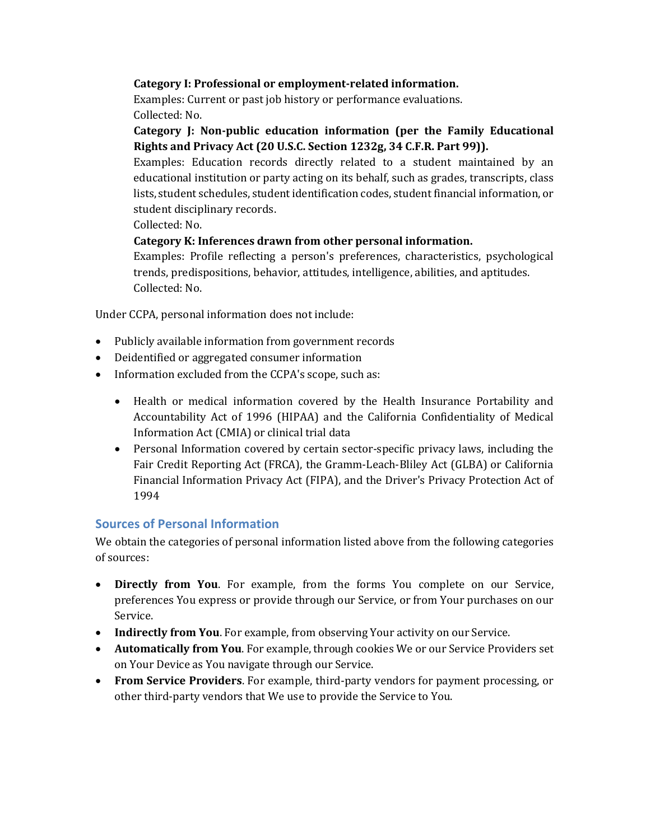#### Category I: Professional or employment-related information.

Examples: Current or past job history or performance evaluations. Collected: No.

## Category J: Non-public education information (per the Family Educational Rights and Privacy Act (20 U.S.C. Section 1232g, 34 C.F.R. Part 99)).

Examples: Education records directly related to a student maintained by an educational institution or party acting on its behalf, such as grades, transcripts, class lists, student schedules, student identification codes, student financial information, or student disciplinary records.

Collected: No.

### Category K: Inferences drawn from other personal information.

Examples: Profile reflecting a person's preferences, characteristics, psychological trends, predispositions, behavior, attitudes, intelligence, abilities, and aptitudes. Collected: No.

Under CCPA, personal information does not include:

- Publicly available information from government records
- Deidentified or aggregated consumer information
- Information excluded from the CCPA's scope, such as:
	- Health or medical information covered by the Health Insurance Portability and Accountability Act of 1996 (HIPAA) and the California Confidentiality of Medical Information Act (CMIA) or clinical trial data
	- Personal Information covered by certain sector-specific privacy laws, including the Fair Credit Reporting Act (FRCA), the Gramm-Leach-Bliley Act (GLBA) or California Financial Information Privacy Act (FIPA), and the Driver's Privacy Protection Act of 1994

## Sources of Personal Information

We obtain the categories of personal information listed above from the following categories of sources:

- Directly from You. For example, from the forms You complete on our Service, preferences You express or provide through our Service, or from Your purchases on our Service.
- Indirectly from You. For example, from observing Your activity on our Service.
- Automatically from You. For example, through cookies We or our Service Providers set on Your Device as You navigate through our Service.
- From Service Providers. For example, third-party vendors for payment processing, or other third-party vendors that We use to provide the Service to You.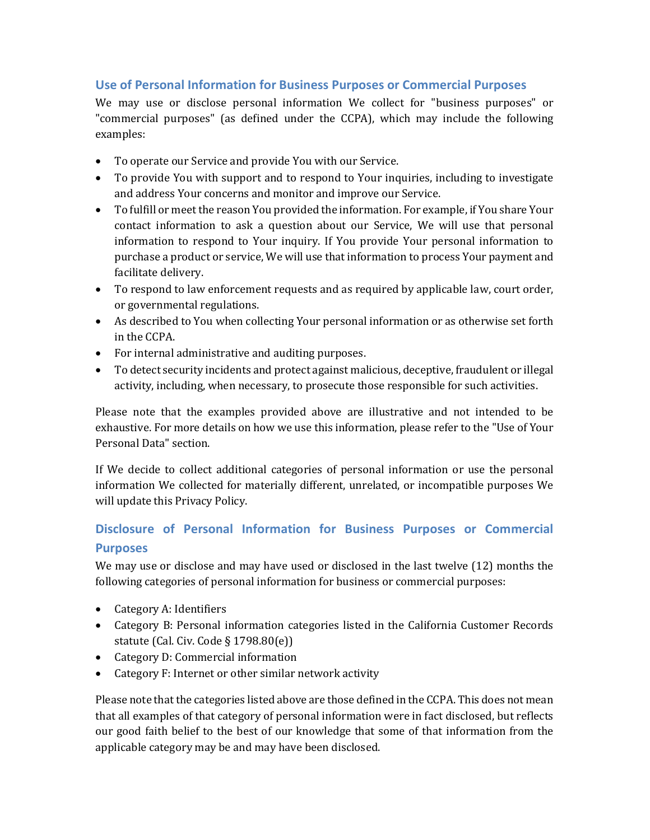# Use of Personal Information for Business Purposes or Commercial Purposes

We may use or disclose personal information We collect for "business purposes" or "commercial purposes" (as defined under the CCPA), which may include the following examples:

- To operate our Service and provide You with our Service.
- To provide You with support and to respond to Your inquiries, including to investigate and address Your concerns and monitor and improve our Service.
- To fulfill or meet the reason You provided the information. For example, if You share Your contact information to ask a question about our Service, We will use that personal information to respond to Your inquiry. If You provide Your personal information to purchase a product or service, We will use that information to process Your payment and facilitate delivery.
- To respond to law enforcement requests and as required by applicable law, court order, or governmental regulations.
- As described to You when collecting Your personal information or as otherwise set forth in the CCPA.
- For internal administrative and auditing purposes.
- To detect security incidents and protect against malicious, deceptive, fraudulent or illegal activity, including, when necessary, to prosecute those responsible for such activities.

Please note that the examples provided above are illustrative and not intended to be exhaustive. For more details on how we use this information, please refer to the "Use of Your Personal Data" section.

If We decide to collect additional categories of personal information or use the personal information We collected for materially different, unrelated, or incompatible purposes We will update this Privacy Policy.

# Disclosure of Personal Information for Business Purposes or Commercial **Purposes**

We may use or disclose and may have used or disclosed in the last twelve (12) months the following categories of personal information for business or commercial purposes:

- Category A: Identifiers
- Category B: Personal information categories listed in the California Customer Records statute (Cal. Civ. Code § 1798.80(e))
- Category D: Commercial information
- Category F: Internet or other similar network activity

Please note that the categories listed above are those defined in the CCPA. This does not mean that all examples of that category of personal information were in fact disclosed, but reflects our good faith belief to the best of our knowledge that some of that information from the applicable category may be and may have been disclosed.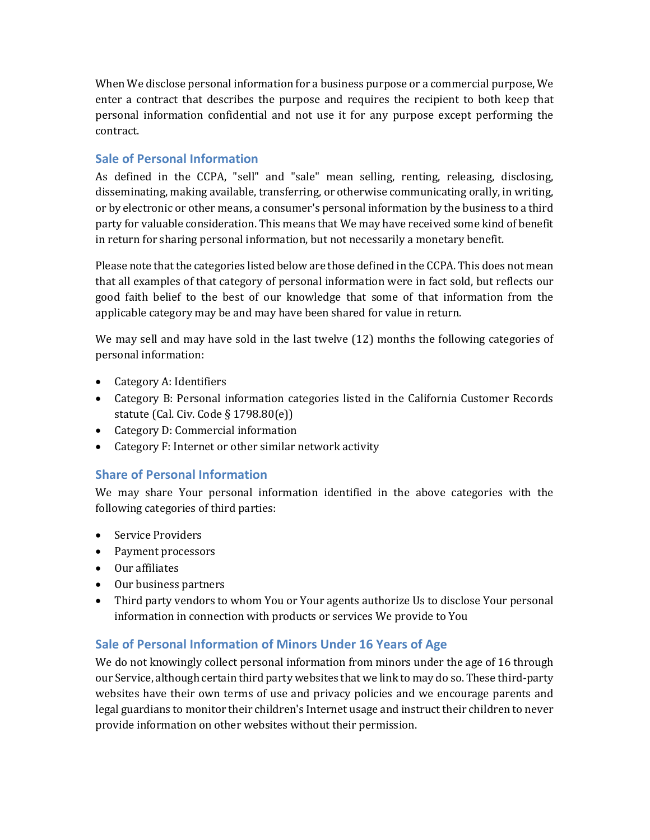When We disclose personal information for a business purpose or a commercial purpose, We enter a contract that describes the purpose and requires the recipient to both keep that personal information confidential and not use it for any purpose except performing the contract.

### Sale of Personal Information

As defined in the CCPA, "sell" and "sale" mean selling, renting, releasing, disclosing, disseminating, making available, transferring, or otherwise communicating orally, in writing, or by electronic or other means, a consumer's personal information by the business to a third party for valuable consideration. This means that We may have received some kind of benefit in return for sharing personal information, but not necessarily a monetary benefit.

Please note that the categories listed below are those defined in the CCPA. This does not mean that all examples of that category of personal information were in fact sold, but reflects our good faith belief to the best of our knowledge that some of that information from the applicable category may be and may have been shared for value in return.

We may sell and may have sold in the last twelve (12) months the following categories of personal information:

- Category A: Identifiers
- Category B: Personal information categories listed in the California Customer Records statute (Cal. Civ. Code § 1798.80(e))
- Category D: Commercial information
- Category F: Internet or other similar network activity

## Share of Personal Information

We may share Your personal information identified in the above categories with the following categories of third parties:

- Service Providers
- Payment processors
- Our affiliates
- Our business partners
- Third party vendors to whom You or Your agents authorize Us to disclose Your personal information in connection with products or services We provide to You

## Sale of Personal Information of Minors Under 16 Years of Age

We do not knowingly collect personal information from minors under the age of 16 through our Service, although certain third party websites that we link to may do so. These third-party websites have their own terms of use and privacy policies and we encourage parents and legal guardians to monitor their children's Internet usage and instruct their children to never provide information on other websites without their permission.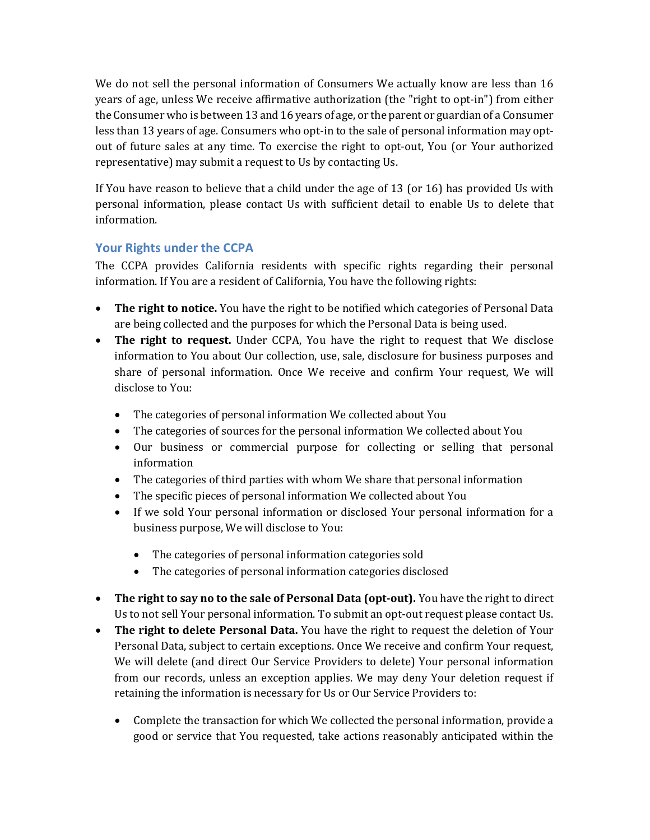We do not sell the personal information of Consumers We actually know are less than 16 years of age, unless We receive affirmative authorization (the "right to opt-in") from either the Consumer who is between 13 and 16 years of age, or the parent or guardian of a Consumer less than 13 years of age. Consumers who opt-in to the sale of personal information may optout of future sales at any time. To exercise the right to opt-out, You (or Your authorized representative) may submit a request to Us by contacting Us.

If You have reason to believe that a child under the age of 13 (or 16) has provided Us with personal information, please contact Us with sufficient detail to enable Us to delete that information.

# Your Rights under the CCPA

The CCPA provides California residents with specific rights regarding their personal information. If You are a resident of California, You have the following rights:

- The right to notice. You have the right to be notified which categories of Personal Data are being collected and the purposes for which the Personal Data is being used.
- The right to request. Under CCPA, You have the right to request that We disclose information to You about Our collection, use, sale, disclosure for business purposes and share of personal information. Once We receive and confirm Your request, We will disclose to You:
	- The categories of personal information We collected about You
	- The categories of sources for the personal information We collected about You
	- Our business or commercial purpose for collecting or selling that personal information
	- The categories of third parties with whom We share that personal information
	- The specific pieces of personal information We collected about You
	- If we sold Your personal information or disclosed Your personal information for a business purpose, We will disclose to You:
		- The categories of personal information categories sold
		- The categories of personal information categories disclosed
- The right to say no to the sale of Personal Data (opt-out). You have the right to direct Us to not sell Your personal information. To submit an opt-out request please contact Us.
- The right to delete Personal Data. You have the right to request the deletion of Your Personal Data, subject to certain exceptions. Once We receive and confirm Your request, We will delete (and direct Our Service Providers to delete) Your personal information from our records, unless an exception applies. We may deny Your deletion request if retaining the information is necessary for Us or Our Service Providers to:
	- Complete the transaction for which We collected the personal information, provide a good or service that You requested, take actions reasonably anticipated within the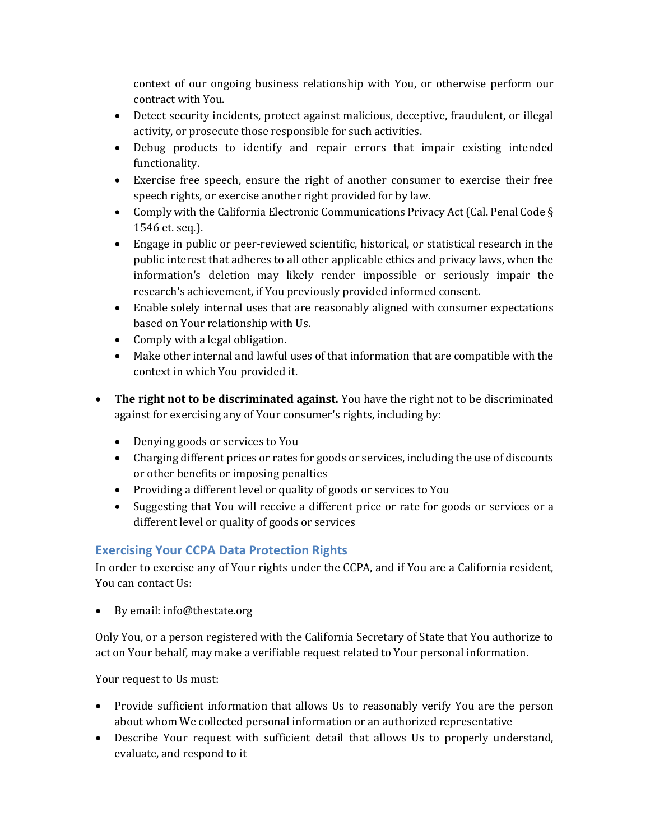context of our ongoing business relationship with You, or otherwise perform our contract with You.

- Detect security incidents, protect against malicious, deceptive, fraudulent, or illegal activity, or prosecute those responsible for such activities.
- Debug products to identify and repair errors that impair existing intended functionality.
- Exercise free speech, ensure the right of another consumer to exercise their free speech rights, or exercise another right provided for by law.
- Comply with the California Electronic Communications Privacy Act (Cal. Penal Code § 1546 et. seq.).
- Engage in public or peer-reviewed scientific, historical, or statistical research in the public interest that adheres to all other applicable ethics and privacy laws, when the information's deletion may likely render impossible or seriously impair the research's achievement, if You previously provided informed consent.
- Enable solely internal uses that are reasonably aligned with consumer expectations based on Your relationship with Us.
- Comply with a legal obligation.
- Make other internal and lawful uses of that information that are compatible with the context in which You provided it.
- The right not to be discriminated against. You have the right not to be discriminated against for exercising any of Your consumer's rights, including by:
	- Denying goods or services to You
	- Charging different prices or rates for goods or services, including the use of discounts or other benefits or imposing penalties
	- Providing a different level or quality of goods or services to You
	- Suggesting that You will receive a different price or rate for goods or services or a different level or quality of goods or services

# Exercising Your CCPA Data Protection Rights

In order to exercise any of Your rights under the CCPA, and if You are a California resident, You can contact Us:

By email: info@thestate.org

Only You, or a person registered with the California Secretary of State that You authorize to act on Your behalf, may make a verifiable request related to Your personal information.

Your request to Us must:

- Provide sufficient information that allows Us to reasonably verify You are the person about whom We collected personal information or an authorized representative
- Describe Your request with sufficient detail that allows Us to properly understand, evaluate, and respond to it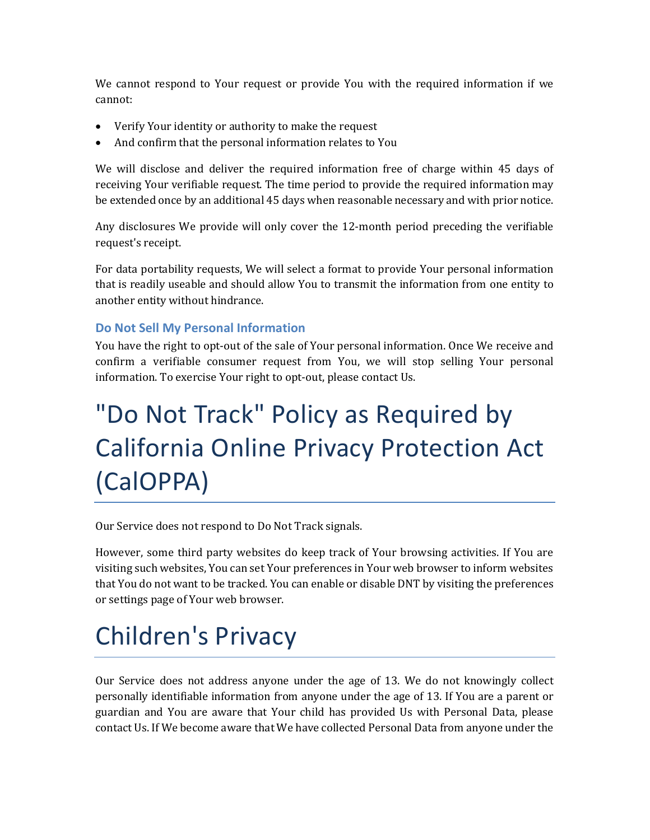We cannot respond to Your request or provide You with the required information if we cannot:

- Verify Your identity or authority to make the request
- And confirm that the personal information relates to You

We will disclose and deliver the required information free of charge within 45 days of receiving Your verifiable request. The time period to provide the required information may be extended once by an additional 45 days when reasonable necessary and with prior notice.

Any disclosures We provide will only cover the 12-month period preceding the verifiable request's receipt.

For data portability requests, We will select a format to provide Your personal information that is readily useable and should allow You to transmit the information from one entity to another entity without hindrance.

# Do Not Sell My Personal Information

You have the right to opt-out of the sale of Your personal information. Once We receive and confirm a verifiable consumer request from You, we will stop selling Your personal information. To exercise Your right to opt-out, please contact Us.

# "Do Not Track" Policy as Required by California Online Privacy Protection Act (CalOPPA)

Our Service does not respond to Do Not Track signals.

However, some third party websites do keep track of Your browsing activities. If You are visiting such websites, You can set Your preferences in Your web browser to inform websites that You do not want to be tracked. You can enable or disable DNT by visiting the preferences or settings page of Your web browser.

# Children's Privacy

Our Service does not address anyone under the age of 13. We do not knowingly collect personally identifiable information from anyone under the age of 13. If You are a parent or guardian and You are aware that Your child has provided Us with Personal Data, please contact Us. If We become aware that We have collected Personal Data from anyone under the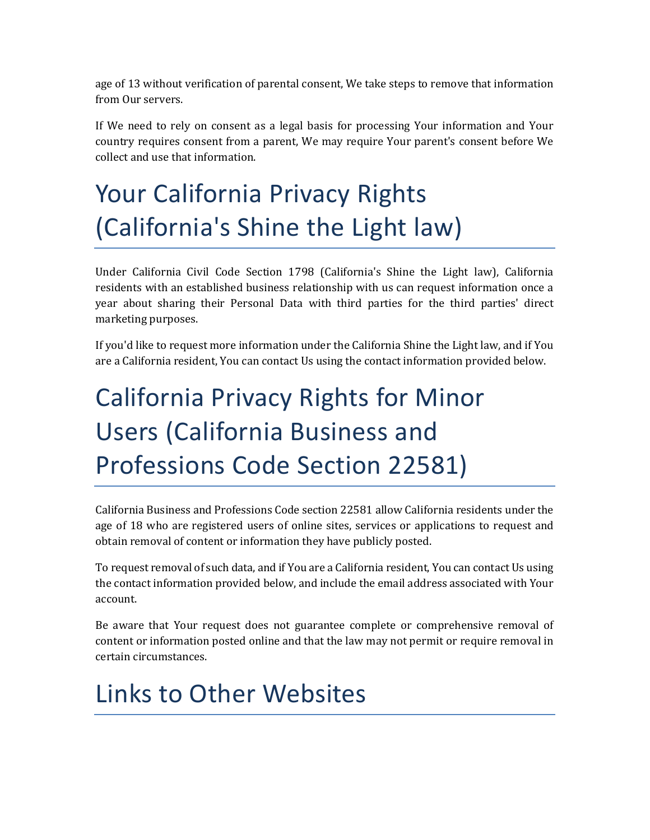age of 13 without verification of parental consent, We take steps to remove that information from Our servers.

If We need to rely on consent as a legal basis for processing Your information and Your country requires consent from a parent, We may require Your parent's consent before We collect and use that information.

# Your California Privacy Rights (California's Shine the Light law)

Under California Civil Code Section 1798 (California's Shine the Light law), California residents with an established business relationship with us can request information once a year about sharing their Personal Data with third parties for the third parties' direct marketing purposes.

If you'd like to request more information under the California Shine the Light law, and if You are a California resident, You can contact Us using the contact information provided below.

# California Privacy Rights for Minor Users (California Business and Professions Code Section 22581)

California Business and Professions Code section 22581 allow California residents under the age of 18 who are registered users of online sites, services or applications to request and obtain removal of content or information they have publicly posted.

To request removal of such data, and if You are a California resident, You can contact Us using the contact information provided below, and include the email address associated with Your account.

Be aware that Your request does not guarantee complete or comprehensive removal of content or information posted online and that the law may not permit or require removal in certain circumstances.

# Links to Other Websites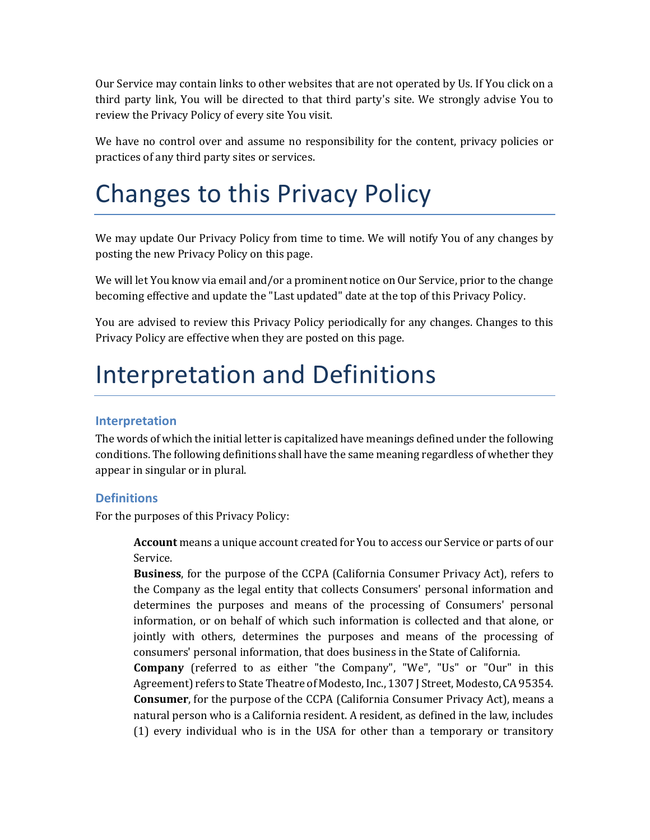Our Service may contain links to other websites that are not operated by Us. If You click on a third party link, You will be directed to that third party's site. We strongly advise You to review the Privacy Policy of every site You visit.

We have no control over and assume no responsibility for the content, privacy policies or practices of any third party sites or services.

# Changes to this Privacy Policy

We may update Our Privacy Policy from time to time. We will notify You of any changes by posting the new Privacy Policy on this page.

We will let You know via email and/or a prominent notice on Our Service, prior to the change becoming effective and update the "Last updated" date at the top of this Privacy Policy.

You are advised to review this Privacy Policy periodically for any changes. Changes to this Privacy Policy are effective when they are posted on this page.

# Interpretation and Definitions

## Interpretation

The words of which the initial letter is capitalized have meanings defined under the following conditions. The following definitions shall have the same meaning regardless of whether they appear in singular or in plural.

## **Definitions**

For the purposes of this Privacy Policy:

Account means a unique account created for You to access our Service or parts of our Service.

Business, for the purpose of the CCPA (California Consumer Privacy Act), refers to the Company as the legal entity that collects Consumers' personal information and determines the purposes and means of the processing of Consumers' personal information, or on behalf of which such information is collected and that alone, or jointly with others, determines the purposes and means of the processing of consumers' personal information, that does business in the State of California.

Company (referred to as either "the Company", "We", "Us" or "Our" in this Agreement) refers to State Theatre of Modesto, Inc., 1307 J Street, Modesto, CA 95354. Consumer, for the purpose of the CCPA (California Consumer Privacy Act), means a natural person who is a California resident. A resident, as defined in the law, includes (1) every individual who is in the USA for other than a temporary or transitory